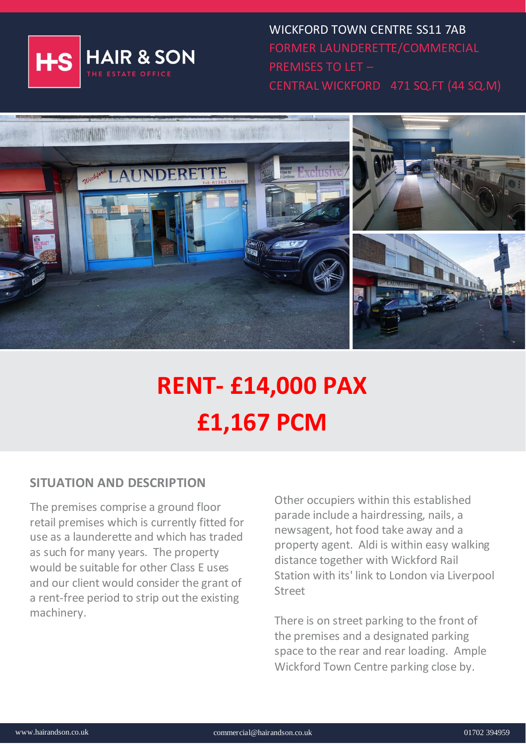

WICKFORD TOWN CENTRE SS11 7AB FORMER LAUNDERETTE/COMMERCIAL PREMISES TO LET – CENTRAL WICKFORD 471 SQ.FT (44 SQ.M)



# **RENT- £14,000 PAX £1,167 PCM**

## **SITUATION AND DESCRIPTION**

The premises comprise a ground floor retail premises which is currently fitted for use as a launderette and which has traded as such for many years. The property would be suitable for other Class E uses and our client would consider the grant of a rent-free period to strip out the existing machinery.

Other occupiers within this established parade include a hairdressing, nails, a newsagent, hot food take away and a property agent. Aldi is within easy walking distance together with Wickford Rail Station with its' link to London via Liverpool Street

There is on street parking to the front of the premises and a designated parking space to the rear and rear loading. Ample Wickford Town Centre parking close by.